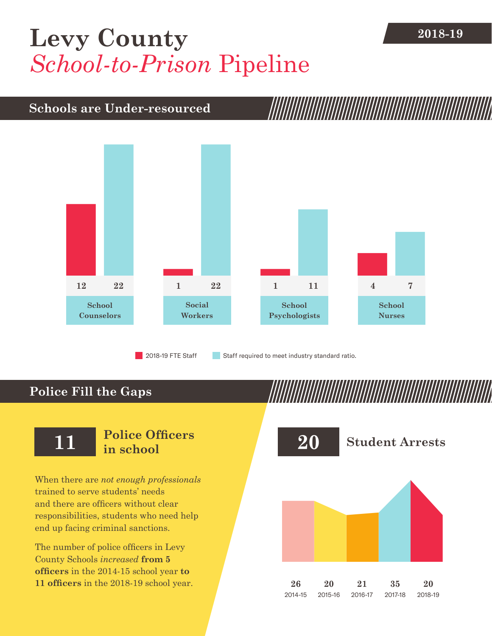## **2018-19 [Levy County](DBF_County)** *School-to-Prison* Pipeline

#### **Schools are Under-resourced**



2018-19 FTE Staff **Staff required to meet industry standard ratio.** 

### **Police Fill the Gaps**

When there are *not enough professionals* trained to serve students' needs and there are officers without clear responsibilities, students who need help end up facing criminal sanctions.

The number of police officers in [Levy](DBF_County)  [County](DBF_County) Schools *increased* **from [5](DBF_PO1415) officers** in the 2014-15 school year **to [11](DBF_PO) officers** in the 2018-19 school year.